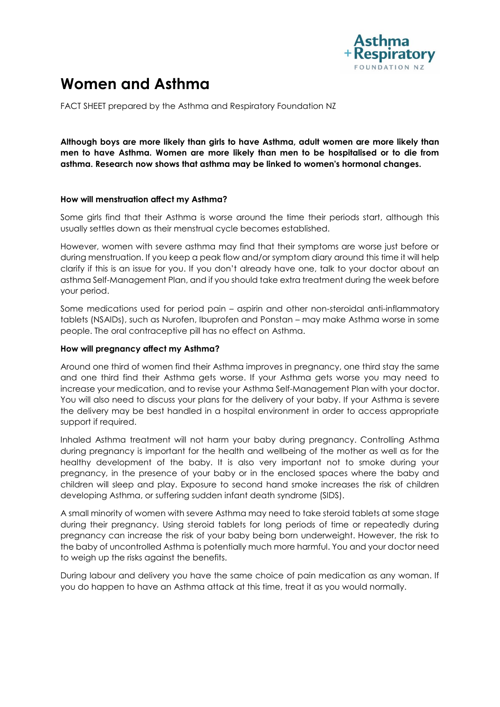

# **Women and Asthma**

FACT SHEET prepared by the Asthma and Respiratory Foundation NZ

**Although boys are more likely than girls to have Asthma, adult women are more likely than men to have Asthma. Women are more likely than men to be hospitalised or to die from asthma. Research now shows that asthma may be linked to women's hormonal changes.** 

### **How will menstruation affect my Asthma?**

Some girls find that their Asthma is worse around the time their periods start, although this usually settles down as their menstrual cycle becomes established.

However, women with severe asthma may find that their symptoms are worse just before or during menstruation. If you keep a peak flow and/or symptom diary around this time it will help clarify if this is an issue for you. If you don't already have one, talk to your doctor about an asthma Self-Management Plan, and if you should take extra treatment during the week before your period.

Some medications used for period pain – aspirin and other non-steroidal anti-inflammatory tablets (NSAIDs), such as Nurofen, Ibuprofen and Ponstan – may make Asthma worse in some people. The oral contraceptive pill has no effect on Asthma.

## **How will pregnancy affect my Asthma?**

Around one third of women find their Asthma improves in pregnancy, one third stay the same and one third find their Asthma gets worse. If your Asthma gets worse you may need to increase your medication, and to revise your Asthma Self-Management Plan with your doctor. You will also need to discuss your plans for the delivery of your baby. If your Asthma is severe the delivery may be best handled in a hospital environment in order to access appropriate support if required.

Inhaled Asthma treatment will not harm your baby during pregnancy. Controlling Asthma during pregnancy is important for the health and wellbeing of the mother as well as for the healthy development of the baby. It is also very important not to smoke during your pregnancy, in the presence of your baby or in the enclosed spaces where the baby and children will sleep and play. Exposure to second hand smoke increases the risk of children developing Asthma, or suffering sudden infant death syndrome (SIDS).

A small minority of women with severe Asthma may need to take steroid tablets at some stage during their pregnancy. Using steroid tablets for long periods of time or repeatedly during pregnancy can increase the risk of your baby being born underweight. However, the risk to the baby of uncontrolled Asthma is potentially much more harmful. You and your doctor need to weigh up the risks against the benefits.

During labour and delivery you have the same choice of pain medication as any woman. If you do happen to have an Asthma attack at this time, treat it as you would normally.